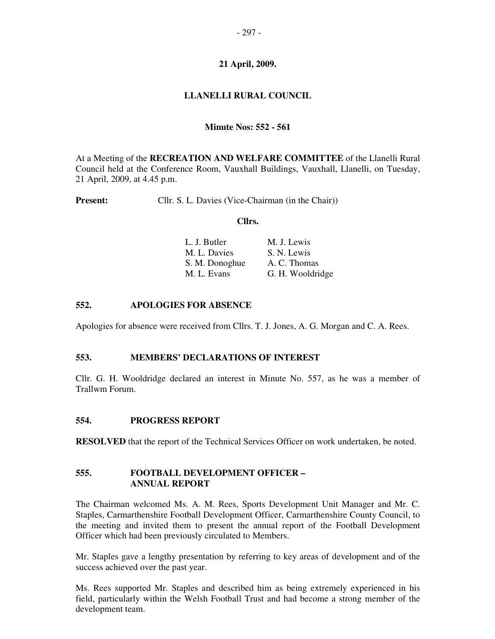# **21 April, 2009.**

# **LLANELLI RURAL COUNCIL**

## **Minute Nos: 552 - 561**

At a Meeting of the **RECREATION AND WELFARE COMMITTEE** of the Llanelli Rural Council held at the Conference Room, Vauxhall Buildings, Vauxhall, Llanelli, on Tuesday, 21 April, 2009, at 4.45 p.m.

**Present:** Cllr. S. L. Davies (Vice-Chairman (in the Chair))

#### **Cllrs.**

| L. J. Butler   | M. J. Lewis      |
|----------------|------------------|
| M. L. Davies   | S. N. Lewis      |
| S. M. Donoghue | A. C. Thomas     |
| M. L. Evans    | G. H. Wooldridge |

### **552. APOLOGIES FOR ABSENCE**

Apologies for absence were received from Cllrs. T. J. Jones, A. G. Morgan and C. A. Rees.

### **553. MEMBERS' DECLARATIONS OF INTEREST**

Cllr. G. H. Wooldridge declared an interest in Minute No. 557, as he was a member of Trallwm Forum.

#### **554. PROGRESS REPORT**

**RESOLVED** that the report of the Technical Services Officer on work undertaken, be noted.

#### **555. FOOTBALL DEVELOPMENT OFFICER – ANNUAL REPORT**

The Chairman welcomed Ms. A. M. Rees, Sports Development Unit Manager and Mr. C. Staples, Carmarthenshire Football Development Officer, Carmarthenshire County Council, to the meeting and invited them to present the annual report of the Football Development Officer which had been previously circulated to Members.

Mr. Staples gave a lengthy presentation by referring to key areas of development and of the success achieved over the past year.

Ms. Rees supported Mr. Staples and described him as being extremely experienced in his field, particularly within the Welsh Football Trust and had become a strong member of the development team.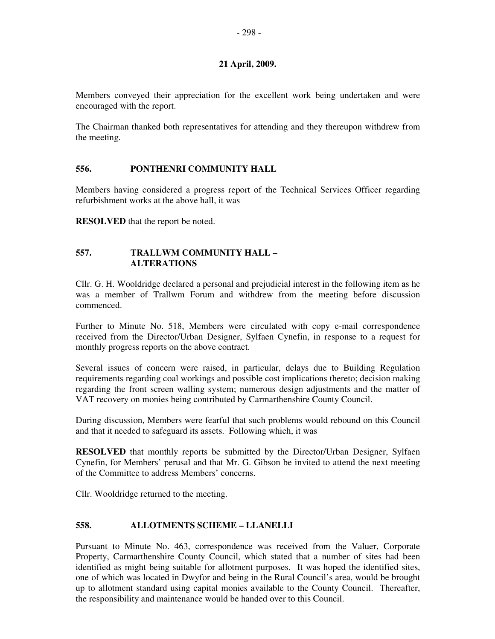## **21 April, 2009.**

Members conveyed their appreciation for the excellent work being undertaken and were encouraged with the report.

The Chairman thanked both representatives for attending and they thereupon withdrew from the meeting.

## **556. PONTHENRI COMMUNITY HALL**

Members having considered a progress report of the Technical Services Officer regarding refurbishment works at the above hall, it was

**RESOLVED** that the report be noted.

### **557. TRALLWM COMMUNITY HALL – ALTERATIONS**

Cllr. G. H. Wooldridge declared a personal and prejudicial interest in the following item as he was a member of Trallwm Forum and withdrew from the meeting before discussion commenced.

Further to Minute No. 518, Members were circulated with copy e-mail correspondence received from the Director/Urban Designer, Sylfaen Cynefin, in response to a request for monthly progress reports on the above contract.

Several issues of concern were raised, in particular, delays due to Building Regulation requirements regarding coal workings and possible cost implications thereto; decision making regarding the front screen walling system; numerous design adjustments and the matter of VAT recovery on monies being contributed by Carmarthenshire County Council.

During discussion, Members were fearful that such problems would rebound on this Council and that it needed to safeguard its assets. Following which, it was

**RESOLVED** that monthly reports be submitted by the Director/Urban Designer, Sylfaen Cynefin, for Members' perusal and that Mr. G. Gibson be invited to attend the next meeting of the Committee to address Members' concerns.

Cllr. Wooldridge returned to the meeting.

### **558. ALLOTMENTS SCHEME – LLANELLI**

Pursuant to Minute No. 463, correspondence was received from the Valuer, Corporate Property, Carmarthenshire County Council, which stated that a number of sites had been identified as might being suitable for allotment purposes. It was hoped the identified sites, one of which was located in Dwyfor and being in the Rural Council's area, would be brought up to allotment standard using capital monies available to the County Council. Thereafter, the responsibility and maintenance would be handed over to this Council.